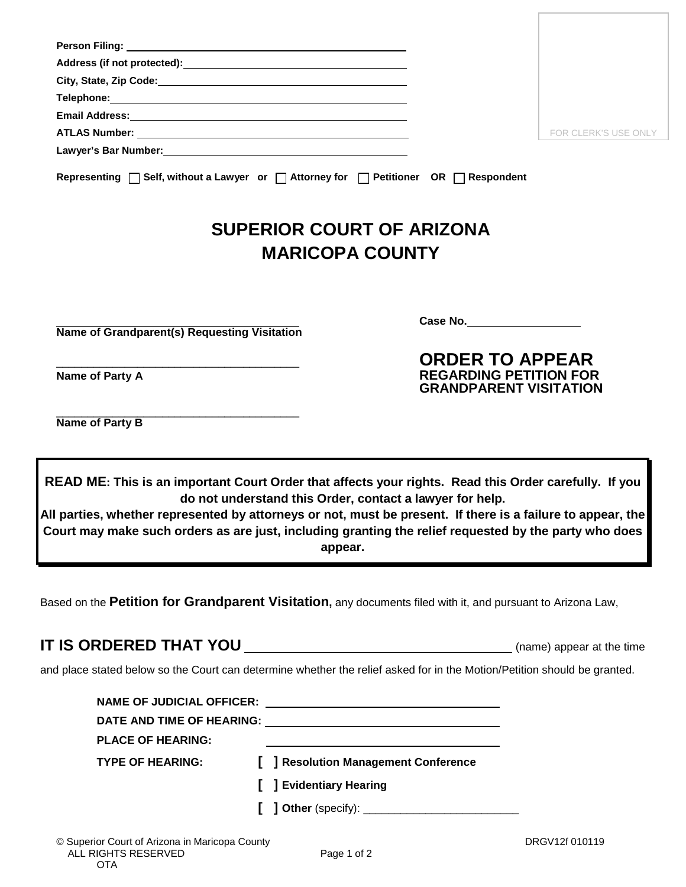| Telephone: Network and the state of the state of the state of the state of the state of the state of the state of the state of the state of the state of the state of the state of the state of the state of the state of the                                                                                                       |                              |                                                                                          |                      |
|-------------------------------------------------------------------------------------------------------------------------------------------------------------------------------------------------------------------------------------------------------------------------------------------------------------------------------------|------------------------------|------------------------------------------------------------------------------------------|----------------------|
| Email Address: No. 2014 12:30 12:30 12:30 12:30 12:30 12:30 12:30 12:30 12:30 12:30 12:30 12:30 12:30 12:30 1                                                                                                                                                                                                                       |                              |                                                                                          |                      |
|                                                                                                                                                                                                                                                                                                                                     |                              |                                                                                          | FOR CLERK'S USE ONLY |
|                                                                                                                                                                                                                                                                                                                                     |                              |                                                                                          |                      |
| Representing $\Box$ Self, without a Lawyer or $\Box$ Attorney for $\Box$ Petitioner OR $\Box$ Respondent                                                                                                                                                                                                                            |                              |                                                                                          |                      |
|                                                                                                                                                                                                                                                                                                                                     |                              | <b>SUPERIOR COURT OF ARIZONA</b>                                                         |                      |
|                                                                                                                                                                                                                                                                                                                                     | <b>MARICOPA COUNTY</b>       |                                                                                          |                      |
|                                                                                                                                                                                                                                                                                                                                     |                              |                                                                                          |                      |
|                                                                                                                                                                                                                                                                                                                                     |                              | Case No.                                                                                 |                      |
| <b>Name of Grandparent(s) Requesting Visitation</b>                                                                                                                                                                                                                                                                                 |                              |                                                                                          |                      |
| Name of Party A                                                                                                                                                                                                                                                                                                                     |                              | <b>ORDER TO APPEAR</b><br><b>REGARDING PETITION FOR</b><br><b>GRANDPARENT VISITATION</b> |                      |
|                                                                                                                                                                                                                                                                                                                                     |                              |                                                                                          |                      |
| Name of Party B                                                                                                                                                                                                                                                                                                                     |                              |                                                                                          |                      |
| READ ME: This is an important Court Order that affects your rights. Read this Order carefully. If you                                                                                                                                                                                                                               | appear.                      | do not understand this Order, contact a lawyer for help.                                 |                      |
|                                                                                                                                                                                                                                                                                                                                     |                              |                                                                                          |                      |
| All parties, whether represented by attorneys or not, must be present. If there is a failure to appear, the<br>Court may make such orders as are just, including granting the relief requested by the party who does<br>Based on the Petition for Grandparent Visitation, any documents filed with it, and pursuant to Arizona Law, |                              |                                                                                          |                      |
| and place stated below so the Court can determine whether the relief asked for in the Motion/Petition should be granted.                                                                                                                                                                                                            |                              |                                                                                          |                      |
|                                                                                                                                                                                                                                                                                                                                     |                              |                                                                                          |                      |
|                                                                                                                                                                                                                                                                                                                                     |                              |                                                                                          |                      |
|                                                                                                                                                                                                                                                                                                                                     |                              |                                                                                          |                      |
| <b>PLACE OF HEARING:</b>                                                                                                                                                                                                                                                                                                            |                              |                                                                                          |                      |
| <b>TYPE OF HEARING:</b>                                                                                                                                                                                                                                                                                                             |                              | [ ] Resolution Management Conference                                                     |                      |
|                                                                                                                                                                                                                                                                                                                                     | <b>J</b> Evidentiary Hearing |                                                                                          |                      |